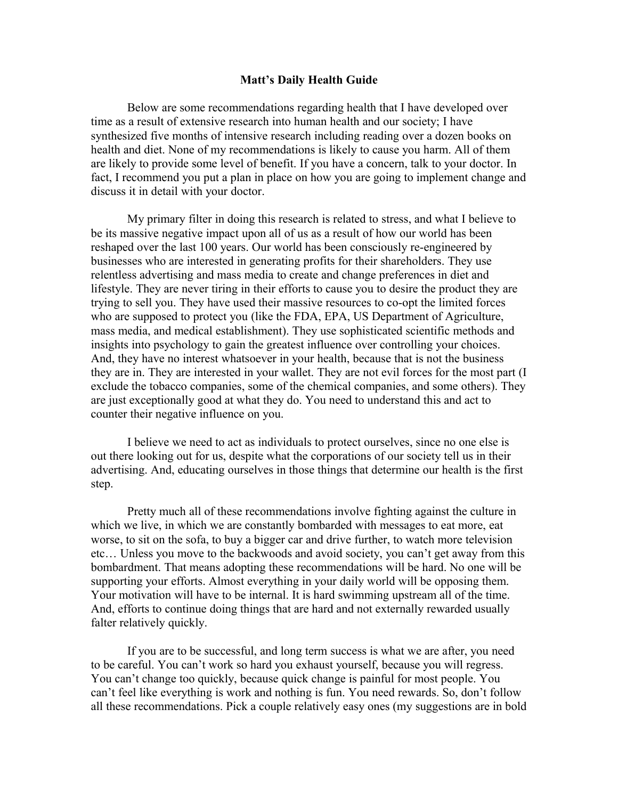### **Matt's Daily Health Guide**

Below are some recommendations regarding health that I have developed over time as a result of extensive research into human health and our society; I have synthesized five months of intensive research including reading over a dozen books on health and diet. None of my recommendations is likely to cause you harm. All of them are likely to provide some level of benefit. If you have a concern, talk to your doctor. In fact, I recommend you put a plan in place on how you are going to implement change and discuss it in detail with your doctor.

My primary filter in doing this research is related to stress, and what I believe to be its massive negative impact upon all of us as a result of how our world has been reshaped over the last 100 years. Our world has been consciously re-engineered by businesses who are interested in generating profits for their shareholders. They use relentless advertising and mass media to create and change preferences in diet and lifestyle. They are never tiring in their efforts to cause you to desire the product they are trying to sell you. They have used their massive resources to co-opt the limited forces who are supposed to protect you (like the FDA, EPA, US Department of Agriculture, mass media, and medical establishment). They use sophisticated scientific methods and insights into psychology to gain the greatest influence over controlling your choices. And, they have no interest whatsoever in your health, because that is not the business they are in. They are interested in your wallet. They are not evil forces for the most part (I exclude the tobacco companies, some of the chemical companies, and some others). They are just exceptionally good at what they do. You need to understand this and act to counter their negative influence on you.

I believe we need to act as individuals to protect ourselves, since no one else is out there looking out for us, despite what the corporations of our society tell us in their advertising. And, educating ourselves in those things that determine our health is the first step.

Pretty much all of these recommendations involve fighting against the culture in which we live, in which we are constantly bombarded with messages to eat more, eat worse, to sit on the sofa, to buy a bigger car and drive further, to watch more television etc… Unless you move to the backwoods and avoid society, you can't get away from this bombardment. That means adopting these recommendations will be hard. No one will be supporting your efforts. Almost everything in your daily world will be opposing them. Your motivation will have to be internal. It is hard swimming upstream all of the time. And, efforts to continue doing things that are hard and not externally rewarded usually falter relatively quickly.

If you are to be successful, and long term success is what we are after, you need to be careful. You can't work so hard you exhaust yourself, because you will regress. You can't change too quickly, because quick change is painful for most people. You can't feel like everything is work and nothing is fun. You need rewards. So, don't follow all these recommendations. Pick a couple relatively easy ones (my suggestions are in bold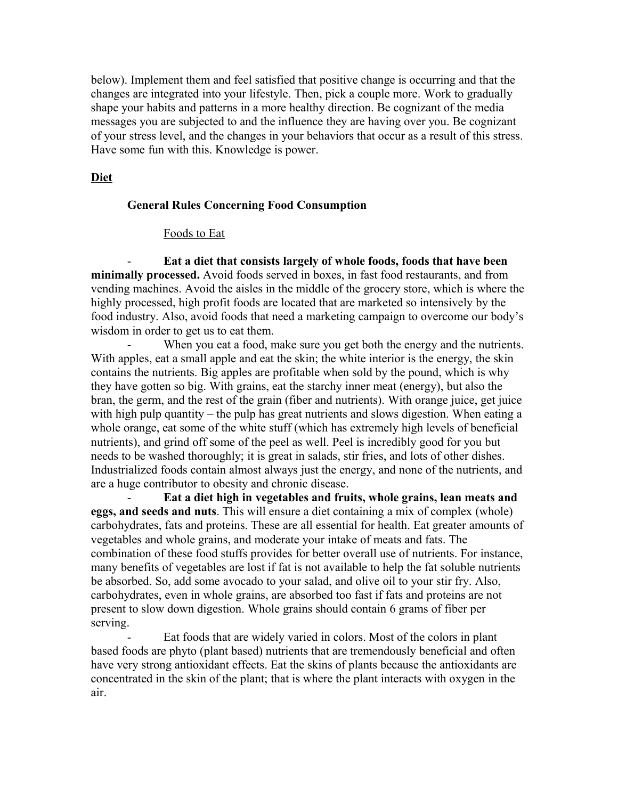below). Implement them and feel satisfied that positive change is occurring and that the changes are integrated into your lifestyle. Then, pick a couple more. Work to gradually shape your habits and patterns in a more healthy direction. Be cognizant of the media messages you are subjected to and the influence they are having over you. Be cognizant of your stress level, and the changes in your behaviors that occur as a result of this stress. Have some fun with this. Knowledge is power.

# **Diet**

## **General Rules Concerning Food Consumption**

### Foods to Eat

- **Eat a diet that consists largely of whole foods, foods that have been minimally processed.** Avoid foods served in boxes, in fast food restaurants, and from vending machines. Avoid the aisles in the middle of the grocery store, which is where the highly processed, high profit foods are located that are marketed so intensively by the food industry. Also, avoid foods that need a marketing campaign to overcome our body's wisdom in order to get us to eat them.

When you eat a food, make sure you get both the energy and the nutrients. With apples, eat a small apple and eat the skin; the white interior is the energy, the skin contains the nutrients. Big apples are profitable when sold by the pound, which is why they have gotten so big. With grains, eat the starchy inner meat (energy), but also the bran, the germ, and the rest of the grain (fiber and nutrients). With orange juice, get juice with high pulp quantity – the pulp has great nutrients and slows digestion. When eating a whole orange, eat some of the white stuff (which has extremely high levels of beneficial nutrients), and grind off some of the peel as well. Peel is incredibly good for you but needs to be washed thoroughly; it is great in salads, stir fries, and lots of other dishes. Industrialized foods contain almost always just the energy, and none of the nutrients, and are a huge contributor to obesity and chronic disease.

- **Eat a diet high in vegetables and fruits, whole grains, lean meats and eggs, and seeds and nuts**. This will ensure a diet containing a mix of complex (whole) carbohydrates, fats and proteins. These are all essential for health. Eat greater amounts of vegetables and whole grains, and moderate your intake of meats and fats. The combination of these food stuffs provides for better overall use of nutrients. For instance, many benefits of vegetables are lost if fat is not available to help the fat soluble nutrients be absorbed. So, add some avocado to your salad, and olive oil to your stir fry. Also, carbohydrates, even in whole grains, are absorbed too fast if fats and proteins are not present to slow down digestion. Whole grains should contain 6 grams of fiber per serving.

Eat foods that are widely varied in colors. Most of the colors in plant based foods are phyto (plant based) nutrients that are tremendously beneficial and often have very strong antioxidant effects. Eat the skins of plants because the antioxidants are concentrated in the skin of the plant; that is where the plant interacts with oxygen in the air.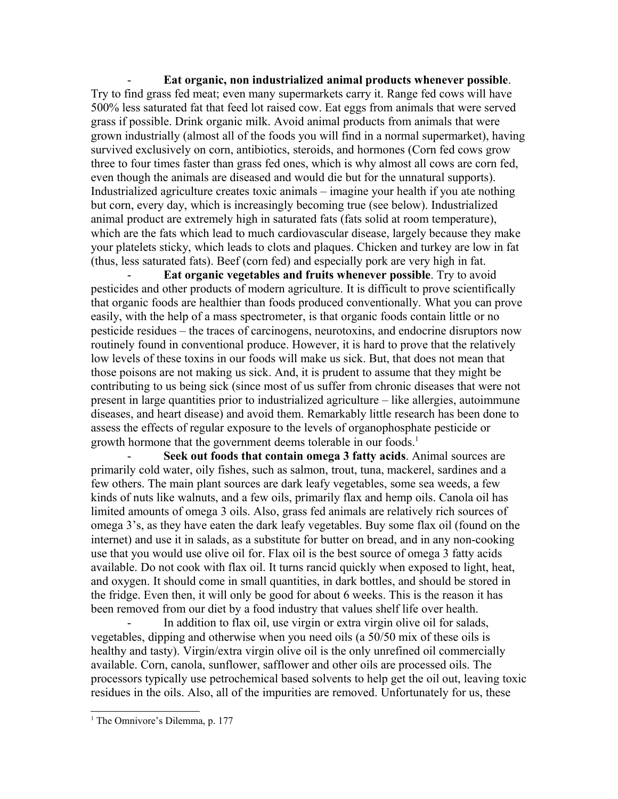- **Eat organic, non industrialized animal products whenever possible**. Try to find grass fed meat; even many supermarkets carry it. Range fed cows will have 500% less saturated fat that feed lot raised cow. Eat eggs from animals that were served grass if possible. Drink organic milk. Avoid animal products from animals that were grown industrially (almost all of the foods you will find in a normal supermarket), having survived exclusively on corn, antibiotics, steroids, and hormones (Corn fed cows grow three to four times faster than grass fed ones, which is why almost all cows are corn fed, even though the animals are diseased and would die but for the unnatural supports). Industrialized agriculture creates toxic animals – imagine your health if you ate nothing but corn, every day, which is increasingly becoming true (see below). Industrialized animal product are extremely high in saturated fats (fats solid at room temperature), which are the fats which lead to much cardiovascular disease, largely because they make your platelets sticky, which leads to clots and plaques. Chicken and turkey are low in fat (thus, less saturated fats). Beef (corn fed) and especially pork are very high in fat.

**Eat organic vegetables and fruits whenever possible**. Try to avoid pesticides and other products of modern agriculture. It is difficult to prove scientifically that organic foods are healthier than foods produced conventionally. What you can prove easily, with the help of a mass spectrometer, is that organic foods contain little or no pesticide residues – the traces of carcinogens, neurotoxins, and endocrine disruptors now routinely found in conventional produce. However, it is hard to prove that the relatively low levels of these toxins in our foods will make us sick. But, that does not mean that those poisons are not making us sick. And, it is prudent to assume that they might be contributing to us being sick (since most of us suffer from chronic diseases that were not present in large quantities prior to industrialized agriculture – like allergies, autoimmune diseases, and heart disease) and avoid them. Remarkably little research has been done to assess the effects of regular exposure to the levels of organophosphate pesticide or growth hormone that the government deems tolerable in our foods.<sup>[1](#page-2-0)</sup>

Seek out foods that contain omega 3 fatty acids. Animal sources are primarily cold water, oily fishes, such as salmon, trout, tuna, mackerel, sardines and a few others. The main plant sources are dark leafy vegetables, some sea weeds, a few kinds of nuts like walnuts, and a few oils, primarily flax and hemp oils. Canola oil has limited amounts of omega 3 oils. Also, grass fed animals are relatively rich sources of omega 3's, as they have eaten the dark leafy vegetables. Buy some flax oil (found on the internet) and use it in salads, as a substitute for butter on bread, and in any non-cooking use that you would use olive oil for. Flax oil is the best source of omega 3 fatty acids available. Do not cook with flax oil. It turns rancid quickly when exposed to light, heat, and oxygen. It should come in small quantities, in dark bottles, and should be stored in the fridge. Even then, it will only be good for about 6 weeks. This is the reason it has been removed from our diet by a food industry that values shelf life over health.

In addition to flax oil, use virgin or extra virgin olive oil for salads, vegetables, dipping and otherwise when you need oils (a 50/50 mix of these oils is healthy and tasty). Virgin/extra virgin olive oil is the only unrefined oil commercially available. Corn, canola, sunflower, safflower and other oils are processed oils. The processors typically use petrochemical based solvents to help get the oil out, leaving toxic residues in the oils. Also, all of the impurities are removed. Unfortunately for us, these

<span id="page-2-0"></span><sup>&</sup>lt;sup>1</sup> The Omnivore's Dilemma, p. 177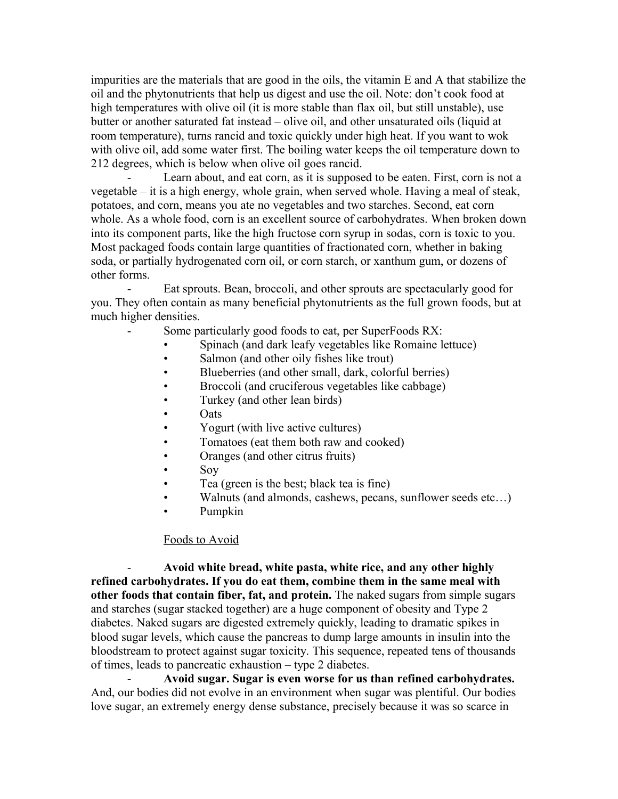impurities are the materials that are good in the oils, the vitamin E and A that stabilize the oil and the phytonutrients that help us digest and use the oil. Note: don't cook food at high temperatures with olive oil (it is more stable than flax oil, but still unstable), use butter or another saturated fat instead – olive oil, and other unsaturated oils (liquid at room temperature), turns rancid and toxic quickly under high heat. If you want to wok with olive oil, add some water first. The boiling water keeps the oil temperature down to 212 degrees, which is below when olive oil goes rancid.

Learn about, and eat corn, as it is supposed to be eaten. First, corn is not a vegetable – it is a high energy, whole grain, when served whole. Having a meal of steak, potatoes, and corn, means you ate no vegetables and two starches. Second, eat corn whole. As a whole food, corn is an excellent source of carbohydrates. When broken down into its component parts, like the high fructose corn syrup in sodas, corn is toxic to you. Most packaged foods contain large quantities of fractionated corn, whether in baking soda, or partially hydrogenated corn oil, or corn starch, or xanthum gum, or dozens of other forms.

Eat sprouts. Bean, broccoli, and other sprouts are spectacularly good for you. They often contain as many beneficial phytonutrients as the full grown foods, but at much higher densities.

- Some particularly good foods to eat, per SuperFoods RX:
	- Spinach (and dark leafy vegetables like Romaine lettuce)
	- Salmon (and other oily fishes like trout)
	- Blueberries (and other small, dark, colorful berries)
	- Broccoli (and cruciferous vegetables like cabbage)
	- Turkey (and other lean birds)
	- Oats
	- Yogurt (with live active cultures)
	- Tomatoes (eat them both raw and cooked)
	- Oranges (and other citrus fruits)
	- Soy
	- Tea (green is the best; black tea is fine)
	- Walnuts (and almonds, cashews, pecans, sunflower seeds etc...)
	- Pumpkin

### Foods to Avoid

- **Avoid white bread, white pasta, white rice, and any other highly refined carbohydrates. If you do eat them, combine them in the same meal with other foods that contain fiber, fat, and protein.** The naked sugars from simple sugars and starches (sugar stacked together) are a huge component of obesity and Type 2 diabetes. Naked sugars are digested extremely quickly, leading to dramatic spikes in blood sugar levels, which cause the pancreas to dump large amounts in insulin into the bloodstream to protect against sugar toxicity. This sequence, repeated tens of thousands of times, leads to pancreatic exhaustion – type 2 diabetes.

- **Avoid sugar. Sugar is even worse for us than refined carbohydrates.** And, our bodies did not evolve in an environment when sugar was plentiful. Our bodies love sugar, an extremely energy dense substance, precisely because it was so scarce in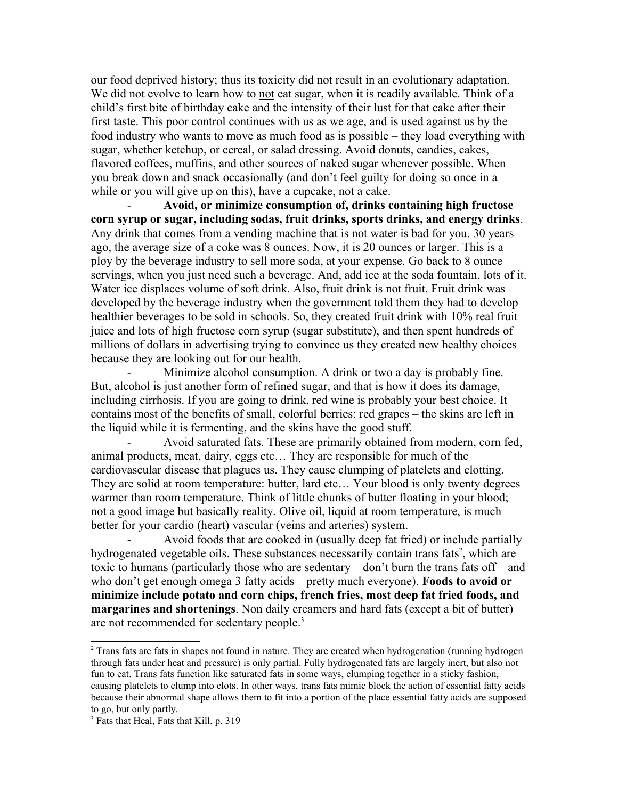our food deprived history; thus its toxicity did not result in an evolutionary adaptation. We did not evolve to learn how to not eat sugar, when it is readily available. Think of a child's first bite of birthday cake and the intensity of their lust for that cake after their first taste. This poor control continues with us as we age, and is used against us by the food industry who wants to move as much food as is possible – they load everything with sugar, whether ketchup, or cereal, or salad dressing. Avoid donuts, candies, cakes, flavored coffees, muffins, and other sources of naked sugar whenever possible. When you break down and snack occasionally (and don't feel guilty for doing so once in a while or you will give up on this), have a cupcake, not a cake.

- **Avoid, or minimize consumption of, drinks containing high fructose corn syrup or sugar, including sodas, fruit drinks, sports drinks, and energy drinks**. Any drink that comes from a vending machine that is not water is bad for you. 30 years ago, the average size of a coke was 8 ounces. Now, it is 20 ounces or larger. This is a ploy by the beverage industry to sell more soda, at your expense. Go back to 8 ounce servings, when you just need such a beverage. And, add ice at the soda fountain, lots of it. Water ice displaces volume of soft drink. Also, fruit drink is not fruit. Fruit drink was developed by the beverage industry when the government told them they had to develop healthier beverages to be sold in schools. So, they created fruit drink with 10% real fruit juice and lots of high fructose corn syrup (sugar substitute), and then spent hundreds of millions of dollars in advertising trying to convince us they created new healthy choices because they are looking out for our health.

Minimize alcohol consumption. A drink or two a day is probably fine. But, alcohol is just another form of refined sugar, and that is how it does its damage, including cirrhosis. If you are going to drink, red wine is probably your best choice. It contains most of the benefits of small, colorful berries: red grapes – the skins are left in the liquid while it is fermenting, and the skins have the good stuff.

Avoid saturated fats. These are primarily obtained from modern, corn fed, animal products, meat, dairy, eggs etc… They are responsible for much of the cardiovascular disease that plagues us. They cause clumping of platelets and clotting. They are solid at room temperature: butter, lard etc… Your blood is only twenty degrees warmer than room temperature. Think of little chunks of butter floating in your blood; not a good image but basically reality. Olive oil, liquid at room temperature, is much better for your cardio (heart) vascular (veins and arteries) system.

- Avoid foods that are cooked in (usually deep fat fried) or include partially hydrogenated vegetable oils. These substances necessarily contain trans fats<sup>[2](#page-4-0)</sup>, which are toxic to humans (particularly those who are sedentary – don't burn the trans fats off – and who don't get enough omega 3 fatty acids – pretty much everyone). **Foods to avoid or minimize include potato and corn chips, french fries, most deep fat fried foods, and margarines and shortenings**. Non daily creamers and hard fats (except a bit of butter) are not recommended for sedentary people.<sup>[3](#page-4-1)</sup>

<span id="page-4-0"></span><sup>&</sup>lt;sup>2</sup> Trans fats are fats in shapes not found in nature. They are created when hydrogenation (running hydrogen through fats under heat and pressure) is only partial. Fully hydrogenated fats are largely inert, but also not fun to eat. Trans fats function like saturated fats in some ways, clumping together in a sticky fashion, causing platelets to clump into clots. In other ways, trans fats mimic block the action of essential fatty acids because their abnormal shape allows them to fit into a portion of the place essential fatty acids are supposed to go, but only partly.

<span id="page-4-1"></span><sup>&</sup>lt;sup>3</sup> Fats that Heal, Fats that Kill, p. 319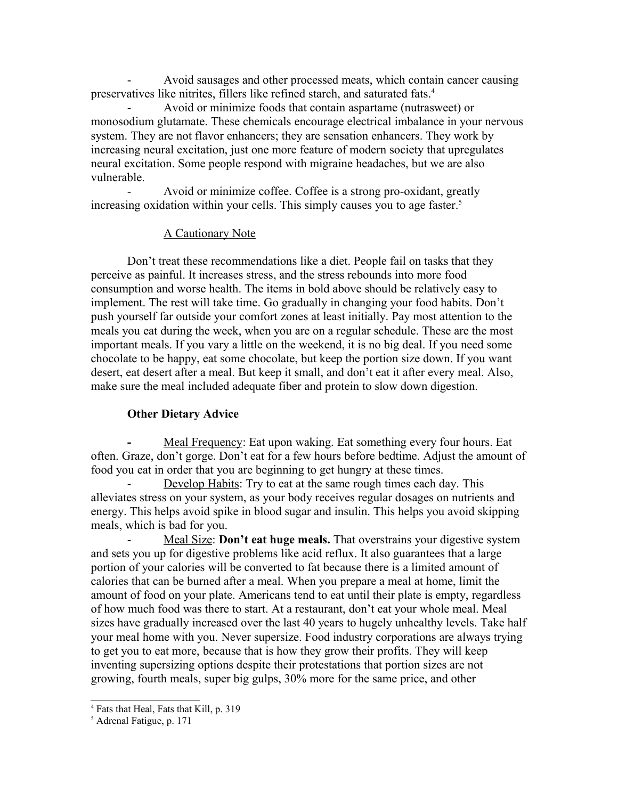- Avoid sausages and other processed meats, which contain cancer causing preservatives like nitrites, fillers like refined starch, and saturated fats.[4](#page-5-0)

- Avoid or minimize foods that contain aspartame (nutrasweet) or monosodium glutamate. These chemicals encourage electrical imbalance in your nervous system. They are not flavor enhancers; they are sensation enhancers. They work by increasing neural excitation, just one more feature of modern society that upregulates neural excitation. Some people respond with migraine headaches, but we are also vulnerable.

Avoid or minimize coffee. Coffee is a strong pro-oxidant, greatly increasing oxidation within your cells. This simply causes you to age faster.<sup>[5](#page-5-1)</sup>

## A Cautionary Note

Don't treat these recommendations like a diet. People fail on tasks that they perceive as painful. It increases stress, and the stress rebounds into more food consumption and worse health. The items in bold above should be relatively easy to implement. The rest will take time. Go gradually in changing your food habits. Don't push yourself far outside your comfort zones at least initially. Pay most attention to the meals you eat during the week, when you are on a regular schedule. These are the most important meals. If you vary a little on the weekend, it is no big deal. If you need some chocolate to be happy, eat some chocolate, but keep the portion size down. If you want desert, eat desert after a meal. But keep it small, and don't eat it after every meal. Also, make sure the meal included adequate fiber and protein to slow down digestion.

### **Other Dietary Advice**

**-** Meal Frequency: Eat upon waking. Eat something every four hours. Eat often. Graze, don't gorge. Don't eat for a few hours before bedtime. Adjust the amount of food you eat in order that you are beginning to get hungry at these times.

Develop Habits: Try to eat at the same rough times each day. This alleviates stress on your system, as your body receives regular dosages on nutrients and energy. This helps avoid spike in blood sugar and insulin. This helps you avoid skipping meals, which is bad for you.

Meal Size: **Don't eat huge meals.** That overstrains your digestive system and sets you up for digestive problems like acid reflux. It also guarantees that a large portion of your calories will be converted to fat because there is a limited amount of calories that can be burned after a meal. When you prepare a meal at home, limit the amount of food on your plate. Americans tend to eat until their plate is empty, regardless of how much food was there to start. At a restaurant, don't eat your whole meal. Meal sizes have gradually increased over the last 40 years to hugely unhealthy levels. Take half your meal home with you. Never supersize. Food industry corporations are always trying to get you to eat more, because that is how they grow their profits. They will keep inventing supersizing options despite their protestations that portion sizes are not growing, fourth meals, super big gulps, 30% more for the same price, and other

<span id="page-5-0"></span><sup>4</sup> Fats that Heal, Fats that Kill, p. 319

<span id="page-5-1"></span><sup>5</sup> Adrenal Fatigue, p. 171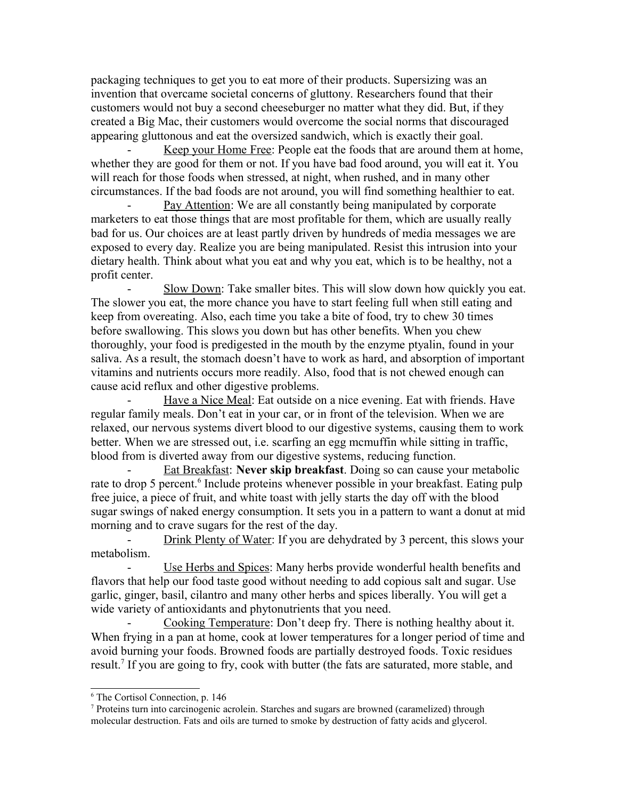packaging techniques to get you to eat more of their products. Supersizing was an invention that overcame societal concerns of gluttony. Researchers found that their customers would not buy a second cheeseburger no matter what they did. But, if they created a Big Mac, their customers would overcome the social norms that discouraged appearing gluttonous and eat the oversized sandwich, which is exactly their goal.

Keep your Home Free: People eat the foods that are around them at home, whether they are good for them or not. If you have bad food around, you will eat it. You will reach for those foods when stressed, at night, when rushed, and in many other circumstances. If the bad foods are not around, you will find something healthier to eat.

Pay Attention: We are all constantly being manipulated by corporate marketers to eat those things that are most profitable for them, which are usually really bad for us. Our choices are at least partly driven by hundreds of media messages we are exposed to every day. Realize you are being manipulated. Resist this intrusion into your dietary health. Think about what you eat and why you eat, which is to be healthy, not a profit center.

Slow Down: Take smaller bites. This will slow down how quickly you eat. The slower you eat, the more chance you have to start feeling full when still eating and keep from overeating. Also, each time you take a bite of food, try to chew 30 times before swallowing. This slows you down but has other benefits. When you chew thoroughly, your food is predigested in the mouth by the enzyme ptyalin, found in your saliva. As a result, the stomach doesn't have to work as hard, and absorption of important vitamins and nutrients occurs more readily. Also, food that is not chewed enough can cause acid reflux and other digestive problems.

Have a Nice Meal: Eat outside on a nice evening. Eat with friends. Have regular family meals. Don't eat in your car, or in front of the television. When we are relaxed, our nervous systems divert blood to our digestive systems, causing them to work better. When we are stressed out, i.e. scarfing an egg mcmuffin while sitting in traffic, blood from is diverted away from our digestive systems, reducing function.

**Eat Breakfast: Never skip breakfast**. Doing so can cause your metabolic rate to drop 5 percent.<sup>[6](#page-6-0)</sup> Include proteins whenever possible in your breakfast. Eating pulp free juice, a piece of fruit, and white toast with jelly starts the day off with the blood sugar swings of naked energy consumption. It sets you in a pattern to want a donut at mid morning and to crave sugars for the rest of the day.

Drink Plenty of Water: If you are dehydrated by 3 percent, this slows your metabolism.

Use Herbs and Spices: Many herbs provide wonderful health benefits and flavors that help our food taste good without needing to add copious salt and sugar. Use garlic, ginger, basil, cilantro and many other herbs and spices liberally. You will get a wide variety of antioxidants and phytonutrients that you need.

Cooking Temperature: Don't deep fry. There is nothing healthy about it. When frying in a pan at home, cook at lower temperatures for a longer period of time and avoid burning your foods. Browned foods are partially destroyed foods. Toxic residues result.<sup>[7](#page-6-1)</sup> If you are going to fry, cook with butter (the fats are saturated, more stable, and

<span id="page-6-0"></span><sup>6</sup> The Cortisol Connection, p. 146

<span id="page-6-1"></span><sup>&</sup>lt;sup>7</sup> Proteins turn into carcinogenic acrolein. Starches and sugars are browned (caramelized) through molecular destruction. Fats and oils are turned to smoke by destruction of fatty acids and glycerol.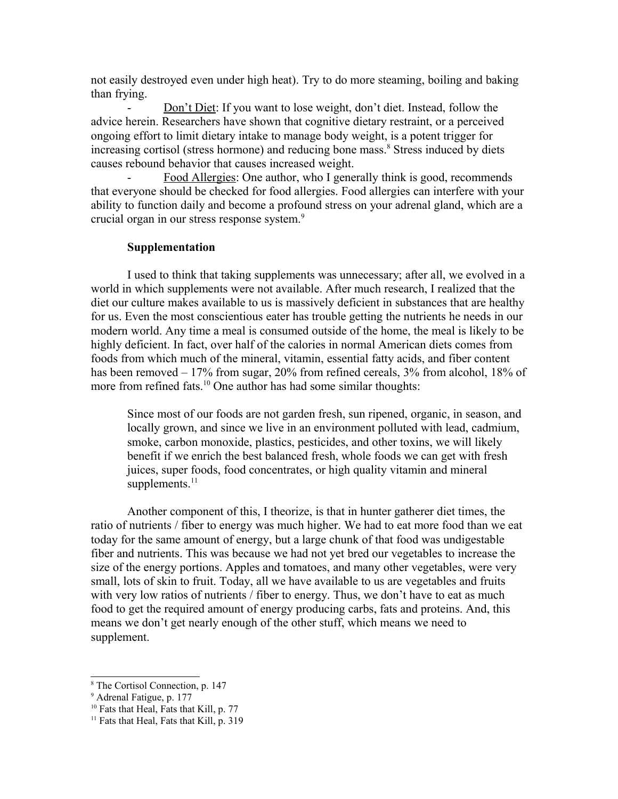not easily destroyed even under high heat). Try to do more steaming, boiling and baking than frying.

Don't Diet: If you want to lose weight, don't diet. Instead, follow the advice herein. Researchers have shown that cognitive dietary restraint, or a perceived ongoing effort to limit dietary intake to manage body weight, is a potent trigger for increasing cortisol (stress hormone) and reducing bone mass.<sup>[8](#page-7-0)</sup> Stress induced by diets causes rebound behavior that causes increased weight.

Food Allergies: One author, who I generally think is good, recommends that everyone should be checked for food allergies. Food allergies can interfere with your ability to function daily and become a profound stress on your adrenal gland, which are a crucial organ in our stress response system.<sup>[9](#page-7-1)</sup>

### **Supplementation**

I used to think that taking supplements was unnecessary; after all, we evolved in a world in which supplements were not available. After much research, I realized that the diet our culture makes available to us is massively deficient in substances that are healthy for us. Even the most conscientious eater has trouble getting the nutrients he needs in our modern world. Any time a meal is consumed outside of the home, the meal is likely to be highly deficient. In fact, over half of the calories in normal American diets comes from foods from which much of the mineral, vitamin, essential fatty acids, and fiber content has been removed – 17% from sugar, 20% from refined cereals, 3% from alcohol, 18% of more from refined fats.<sup>[10](#page-7-2)</sup> One author has had some similar thoughts:

Since most of our foods are not garden fresh, sun ripened, organic, in season, and locally grown, and since we live in an environment polluted with lead, cadmium, smoke, carbon monoxide, plastics, pesticides, and other toxins, we will likely benefit if we enrich the best balanced fresh, whole foods we can get with fresh juices, super foods, food concentrates, or high quality vitamin and mineral supplements. $11$ 

Another component of this, I theorize, is that in hunter gatherer diet times, the ratio of nutrients / fiber to energy was much higher. We had to eat more food than we eat today for the same amount of energy, but a large chunk of that food was undigestable fiber and nutrients. This was because we had not yet bred our vegetables to increase the size of the energy portions. Apples and tomatoes, and many other vegetables, were very small, lots of skin to fruit. Today, all we have available to us are vegetables and fruits with very low ratios of nutrients / fiber to energy. Thus, we don't have to eat as much food to get the required amount of energy producing carbs, fats and proteins. And, this means we don't get nearly enough of the other stuff, which means we need to supplement.

<span id="page-7-0"></span><sup>8</sup> The Cortisol Connection, p. 147

<span id="page-7-1"></span><sup>&</sup>lt;sup>9</sup> Adrenal Fatigue, p. 177

<span id="page-7-2"></span><sup>&</sup>lt;sup>10</sup> Fats that Heal, Fats that Kill, p. 77

<span id="page-7-3"></span><sup>&</sup>lt;sup>11</sup> Fats that Heal, Fats that Kill, p. 319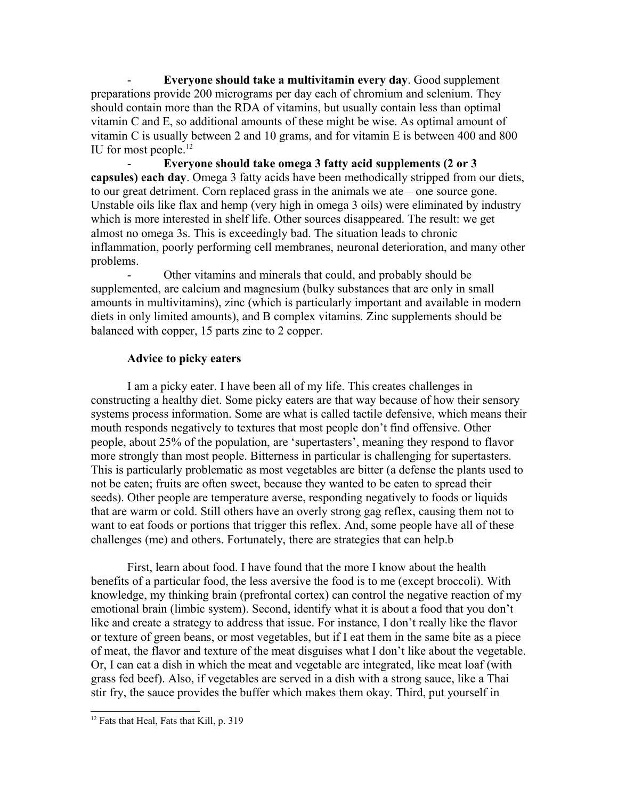- **Everyone should take a multivitamin every day**. Good supplement preparations provide 200 micrograms per day each of chromium and selenium. They should contain more than the RDA of vitamins, but usually contain less than optimal vitamin C and E, so additional amounts of these might be wise. As optimal amount of vitamin C is usually between 2 and 10 grams, and for vitamin E is between 400 and 800 IU for most people.<sup>[12](#page-8-0)</sup>

- **Everyone should take omega 3 fatty acid supplements (2 or 3 capsules) each day**. Omega 3 fatty acids have been methodically stripped from our diets, to our great detriment. Corn replaced grass in the animals we ate – one source gone. Unstable oils like flax and hemp (very high in omega 3 oils) were eliminated by industry which is more interested in shelf life. Other sources disappeared. The result: we get almost no omega 3s. This is exceedingly bad. The situation leads to chronic inflammation, poorly performing cell membranes, neuronal deterioration, and many other problems.

- Other vitamins and minerals that could, and probably should be supplemented, are calcium and magnesium (bulky substances that are only in small amounts in multivitamins), zinc (which is particularly important and available in modern diets in only limited amounts), and B complex vitamins. Zinc supplements should be balanced with copper, 15 parts zinc to 2 copper.

# **Advice to picky eaters**

I am a picky eater. I have been all of my life. This creates challenges in constructing a healthy diet. Some picky eaters are that way because of how their sensory systems process information. Some are what is called tactile defensive, which means their mouth responds negatively to textures that most people don't find offensive. Other people, about 25% of the population, are 'supertasters', meaning they respond to flavor more strongly than most people. Bitterness in particular is challenging for supertasters. This is particularly problematic as most vegetables are bitter (a defense the plants used to not be eaten; fruits are often sweet, because they wanted to be eaten to spread their seeds). Other people are temperature averse, responding negatively to foods or liquids that are warm or cold. Still others have an overly strong gag reflex, causing them not to want to eat foods or portions that trigger this reflex. And, some people have all of these challenges (me) and others. Fortunately, there are strategies that can help.b

First, learn about food. I have found that the more I know about the health benefits of a particular food, the less aversive the food is to me (except broccoli). With knowledge, my thinking brain (prefrontal cortex) can control the negative reaction of my emotional brain (limbic system). Second, identify what it is about a food that you don't like and create a strategy to address that issue. For instance, I don't really like the flavor or texture of green beans, or most vegetables, but if I eat them in the same bite as a piece of meat, the flavor and texture of the meat disguises what I don't like about the vegetable. Or, I can eat a dish in which the meat and vegetable are integrated, like meat loaf (with grass fed beef). Also, if vegetables are served in a dish with a strong sauce, like a Thai stir fry, the sauce provides the buffer which makes them okay. Third, put yourself in

<span id="page-8-0"></span><sup>&</sup>lt;sup>12</sup> Fats that Heal, Fats that Kill, p. 319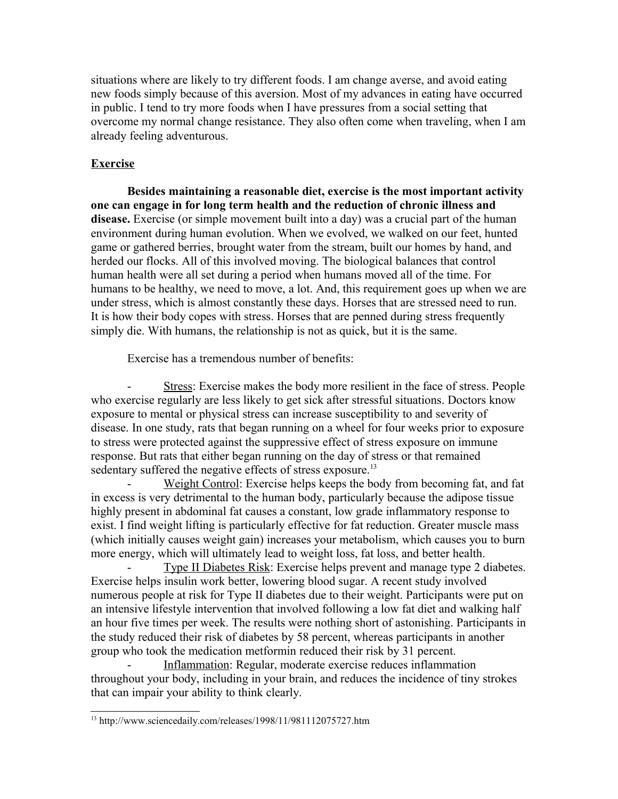situations where are likely to try different foods. I am change averse, and avoid eating new foods simply because of this aversion. Most of my advances in eating have occurred in public. I tend to try more foods when I have pressures from a social setting that overcome my normal change resistance. They also often come when traveling, when I am already feeling adventurous.

# **Exercise**

**Besides maintaining a reasonable diet, exercise is the most important activity one can engage in for long term health and the reduction of chronic illness and disease.** Exercise (or simple movement built into a day) was a crucial part of the human environment during human evolution. When we evolved, we walked on our feet, hunted game or gathered berries, brought water from the stream, built our homes by hand, and herded our flocks. All of this involved moving. The biological balances that control human health were all set during a period when humans moved all of the time. For humans to be healthy, we need to move, a lot. And, this requirement goes up when we are under stress, which is almost constantly these days. Horses that are stressed need to run. It is how their body copes with stress. Horses that are penned during stress frequently simply die. With humans, the relationship is not as quick, but it is the same.

Exercise has a tremendous number of benefits:

Stress: Exercise makes the body more resilient in the face of stress. People who exercise regularly are less likely to get sick after stressful situations. Doctors know exposure to mental or physical stress can increase susceptibility to and severity of disease. In one study, rats that began running on a wheel for four weeks prior to exposure to stress were protected against the suppressive effect of stress exposure on immune response. But rats that either began running on the day of stress or that remained sedentary suffered the negative effects of stress exposure.<sup>[13](#page-9-0)</sup>

Weight Control: Exercise helps keeps the body from becoming fat, and fat in excess is very detrimental to the human body, particularly because the adipose tissue highly present in abdominal fat causes a constant, low grade inflammatory response to exist. I find weight lifting is particularly effective for fat reduction. Greater muscle mass (which initially causes weight gain) increases your metabolism, which causes you to burn more energy, which will ultimately lead to weight loss, fat loss, and better health.

Type II Diabetes Risk: Exercise helps prevent and manage type 2 diabetes. Exercise helps insulin work better, lowering blood sugar. A recent study involved numerous people at risk for Type II diabetes due to their weight. Participants were put on an intensive lifestyle intervention that involved following a low fat diet and walking half an hour five times per week. The results were nothing short of astonishing. Participants in the study reduced their risk of diabetes by 58 percent, whereas participants in another group who took the medication metformin reduced their risk by 31 percent.

Inflammation: Regular, moderate exercise reduces inflammation throughout your body, including in your brain, and reduces the incidence of tiny strokes that can impair your ability to think clearly.

<span id="page-9-0"></span><sup>13</sup> http://www.sciencedaily.com/releases/1998/11/981112075727.htm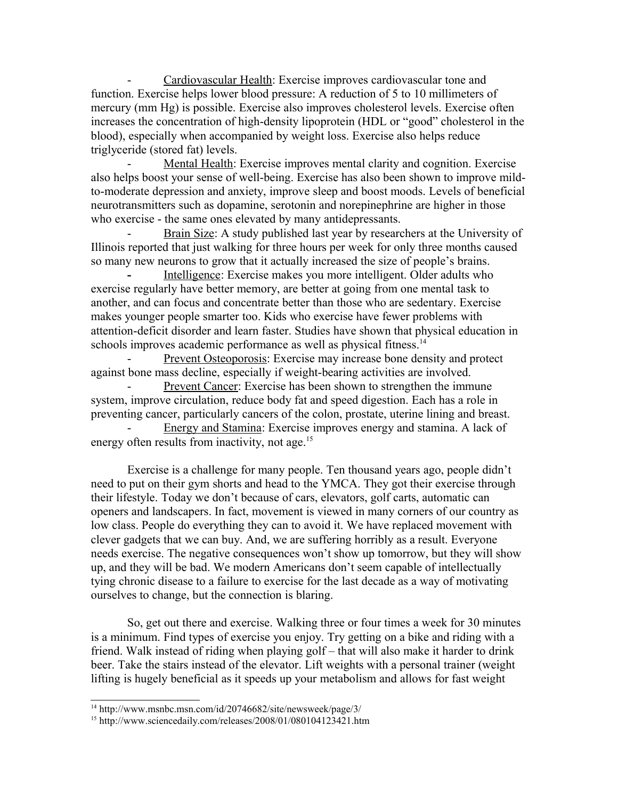- Cardiovascular Health: Exercise improves cardiovascular tone and function. Exercise helps lower blood pressure: A reduction of 5 to 10 millimeters of mercury (mm Hg) is possible. Exercise also improves cholesterol levels. Exercise often increases the concentration of high-density lipoprotein (HDL or "good" cholesterol in the blood), especially when accompanied by weight loss. Exercise also helps reduce triglyceride (stored fat) levels.

Mental Health: Exercise improves mental clarity and cognition. Exercise also helps boost your sense of well-being. Exercise has also been shown to improve mildto-moderate depression and anxiety, improve sleep and boost moods. Levels of beneficial neurotransmitters such as dopamine, serotonin and norepinephrine are higher in those who exercise - the same ones elevated by many antidepressants.

Brain Size: A study published last year by researchers at the University of Illinois reported that just walking for three hours per week for only three months caused so many new neurons to grow that it actually increased the size of people's brains.

**-** Intelligence: Exercise makes you more intelligent. Older adults who exercise regularly have better memory, are better at going from one mental task to another, and can focus and concentrate better than those who are sedentary. Exercise makes younger people smarter too. Kids who exercise have fewer problems with attention-deficit disorder and learn faster. Studies have shown that physical education in schools improves academic performance as well as physical fitness.<sup>[14](#page-10-0)</sup>

Prevent Osteoporosis: Exercise may increase bone density and protect against bone mass decline, especially if weight-bearing activities are involved.

Prevent Cancer: Exercise has been shown to strengthen the immune system, improve circulation, reduce body fat and speed digestion. Each has a role in preventing cancer, particularly cancers of the colon, prostate, uterine lining and breast.

Energy and Stamina: Exercise improves energy and stamina. A lack of energy often results from inactivity, not age.<sup>[15](#page-10-1)</sup>

Exercise is a challenge for many people. Ten thousand years ago, people didn't need to put on their gym shorts and head to the YMCA. They got their exercise through their lifestyle. Today we don't because of cars, elevators, golf carts, automatic can openers and landscapers. In fact, movement is viewed in many corners of our country as low class. People do everything they can to avoid it. We have replaced movement with clever gadgets that we can buy. And, we are suffering horribly as a result. Everyone needs exercise. The negative consequences won't show up tomorrow, but they will show up, and they will be bad. We modern Americans don't seem capable of intellectually tying chronic disease to a failure to exercise for the last decade as a way of motivating ourselves to change, but the connection is blaring.

So, get out there and exercise. Walking three or four times a week for 30 minutes is a minimum. Find types of exercise you enjoy. Try getting on a bike and riding with a friend. Walk instead of riding when playing golf – that will also make it harder to drink beer. Take the stairs instead of the elevator. Lift weights with a personal trainer (weight lifting is hugely beneficial as it speeds up your metabolism and allows for fast weight

<span id="page-10-0"></span><sup>14</sup> http://www.msnbc.msn.com/id/20746682/site/newsweek/page/3/

<span id="page-10-1"></span><sup>&</sup>lt;sup>15</sup> http://www.sciencedaily.com/releases/2008/01/080104123421.htm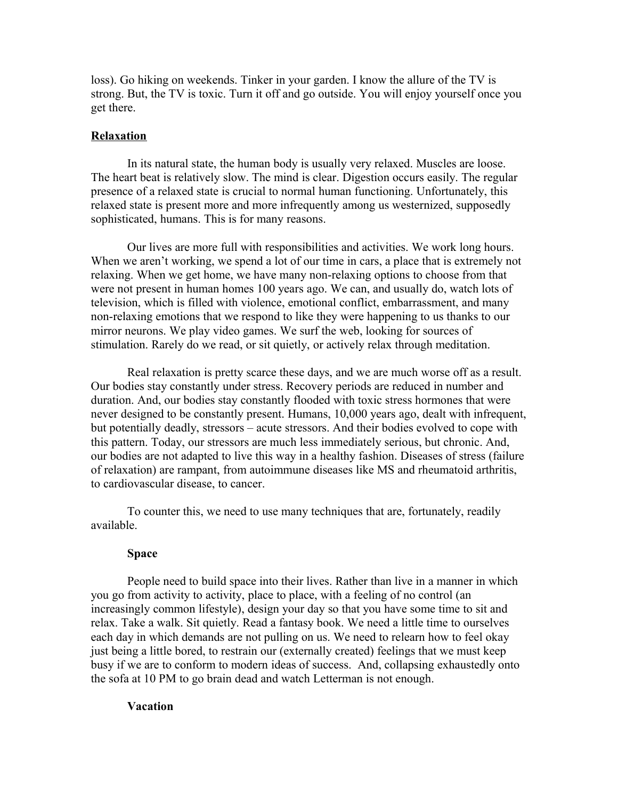loss). Go hiking on weekends. Tinker in your garden. I know the allure of the TV is strong. But, the TV is toxic. Turn it off and go outside. You will enjoy yourself once you get there.

### **Relaxation**

In its natural state, the human body is usually very relaxed. Muscles are loose. The heart beat is relatively slow. The mind is clear. Digestion occurs easily. The regular presence of a relaxed state is crucial to normal human functioning. Unfortunately, this relaxed state is present more and more infrequently among us westernized, supposedly sophisticated, humans. This is for many reasons.

Our lives are more full with responsibilities and activities. We work long hours. When we aren't working, we spend a lot of our time in cars, a place that is extremely not relaxing. When we get home, we have many non-relaxing options to choose from that were not present in human homes 100 years ago. We can, and usually do, watch lots of television, which is filled with violence, emotional conflict, embarrassment, and many non-relaxing emotions that we respond to like they were happening to us thanks to our mirror neurons. We play video games. We surf the web, looking for sources of stimulation. Rarely do we read, or sit quietly, or actively relax through meditation.

Real relaxation is pretty scarce these days, and we are much worse off as a result. Our bodies stay constantly under stress. Recovery periods are reduced in number and duration. And, our bodies stay constantly flooded with toxic stress hormones that were never designed to be constantly present. Humans, 10,000 years ago, dealt with infrequent, but potentially deadly, stressors – acute stressors. And their bodies evolved to cope with this pattern. Today, our stressors are much less immediately serious, but chronic. And, our bodies are not adapted to live this way in a healthy fashion. Diseases of stress (failure of relaxation) are rampant, from autoimmune diseases like MS and rheumatoid arthritis, to cardiovascular disease, to cancer.

To counter this, we need to use many techniques that are, fortunately, readily available.

#### **Space**

People need to build space into their lives. Rather than live in a manner in which you go from activity to activity, place to place, with a feeling of no control (an increasingly common lifestyle), design your day so that you have some time to sit and relax. Take a walk. Sit quietly. Read a fantasy book. We need a little time to ourselves each day in which demands are not pulling on us. We need to relearn how to feel okay just being a little bored, to restrain our (externally created) feelings that we must keep busy if we are to conform to modern ideas of success. And, collapsing exhaustedly onto the sofa at 10 PM to go brain dead and watch Letterman is not enough.

### **Vacation**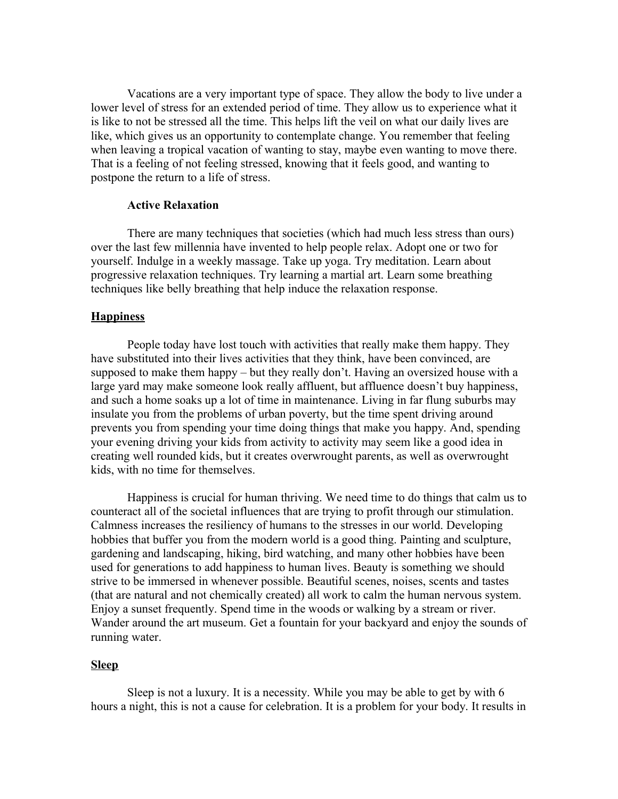Vacations are a very important type of space. They allow the body to live under a lower level of stress for an extended period of time. They allow us to experience what it is like to not be stressed all the time. This helps lift the veil on what our daily lives are like, which gives us an opportunity to contemplate change. You remember that feeling when leaving a tropical vacation of wanting to stay, maybe even wanting to move there. That is a feeling of not feeling stressed, knowing that it feels good, and wanting to postpone the return to a life of stress.

### **Active Relaxation**

There are many techniques that societies (which had much less stress than ours) over the last few millennia have invented to help people relax. Adopt one or two for yourself. Indulge in a weekly massage. Take up yoga. Try meditation. Learn about progressive relaxation techniques. Try learning a martial art. Learn some breathing techniques like belly breathing that help induce the relaxation response.

## **Happiness**

People today have lost touch with activities that really make them happy. They have substituted into their lives activities that they think, have been convinced, are supposed to make them happy – but they really don't. Having an oversized house with a large yard may make someone look really affluent, but affluence doesn't buy happiness, and such a home soaks up a lot of time in maintenance. Living in far flung suburbs may insulate you from the problems of urban poverty, but the time spent driving around prevents you from spending your time doing things that make you happy. And, spending your evening driving your kids from activity to activity may seem like a good idea in creating well rounded kids, but it creates overwrought parents, as well as overwrought kids, with no time for themselves.

Happiness is crucial for human thriving. We need time to do things that calm us to counteract all of the societal influences that are trying to profit through our stimulation. Calmness increases the resiliency of humans to the stresses in our world. Developing hobbies that buffer you from the modern world is a good thing. Painting and sculpture, gardening and landscaping, hiking, bird watching, and many other hobbies have been used for generations to add happiness to human lives. Beauty is something we should strive to be immersed in whenever possible. Beautiful scenes, noises, scents and tastes (that are natural and not chemically created) all work to calm the human nervous system. Enjoy a sunset frequently. Spend time in the woods or walking by a stream or river. Wander around the art museum. Get a fountain for your backyard and enjoy the sounds of running water.

## **Sleep**

Sleep is not a luxury. It is a necessity. While you may be able to get by with 6 hours a night, this is not a cause for celebration. It is a problem for your body. It results in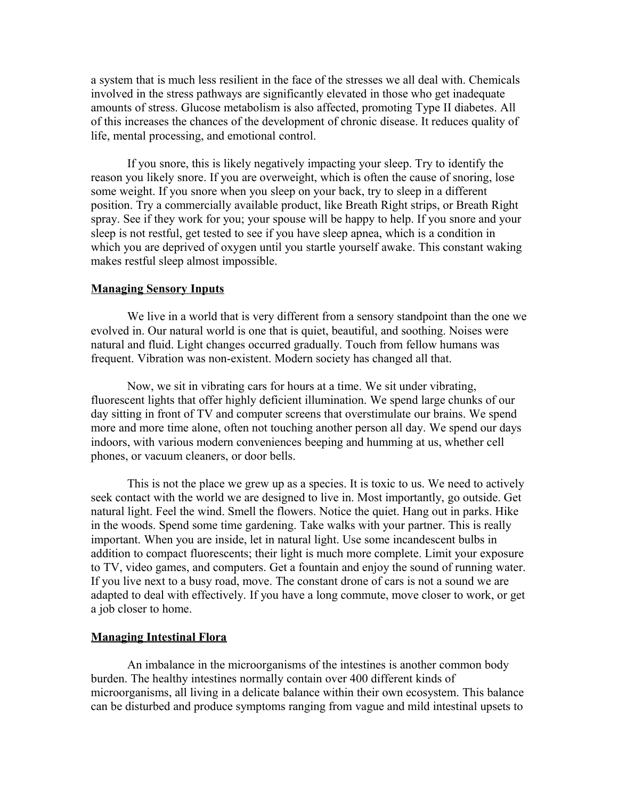a system that is much less resilient in the face of the stresses we all deal with. Chemicals involved in the stress pathways are significantly elevated in those who get inadequate amounts of stress. Glucose metabolism is also affected, promoting Type II diabetes. All of this increases the chances of the development of chronic disease. It reduces quality of life, mental processing, and emotional control.

If you snore, this is likely negatively impacting your sleep. Try to identify the reason you likely snore. If you are overweight, which is often the cause of snoring, lose some weight. If you snore when you sleep on your back, try to sleep in a different position. Try a commercially available product, like Breath Right strips, or Breath Right spray. See if they work for you; your spouse will be happy to help. If you snore and your sleep is not restful, get tested to see if you have sleep apnea, which is a condition in which you are deprived of oxygen until you startle yourself awake. This constant waking makes restful sleep almost impossible.

### **Managing Sensory Inputs**

We live in a world that is very different from a sensory standpoint than the one we evolved in. Our natural world is one that is quiet, beautiful, and soothing. Noises were natural and fluid. Light changes occurred gradually. Touch from fellow humans was frequent. Vibration was non-existent. Modern society has changed all that.

Now, we sit in vibrating cars for hours at a time. We sit under vibrating, fluorescent lights that offer highly deficient illumination. We spend large chunks of our day sitting in front of TV and computer screens that overstimulate our brains. We spend more and more time alone, often not touching another person all day. We spend our days indoors, with various modern conveniences beeping and humming at us, whether cell phones, or vacuum cleaners, or door bells.

This is not the place we grew up as a species. It is toxic to us. We need to actively seek contact with the world we are designed to live in. Most importantly, go outside. Get natural light. Feel the wind. Smell the flowers. Notice the quiet. Hang out in parks. Hike in the woods. Spend some time gardening. Take walks with your partner. This is really important. When you are inside, let in natural light. Use some incandescent bulbs in addition to compact fluorescents; their light is much more complete. Limit your exposure to TV, video games, and computers. Get a fountain and enjoy the sound of running water. If you live next to a busy road, move. The constant drone of cars is not a sound we are adapted to deal with effectively. If you have a long commute, move closer to work, or get a job closer to home.

#### **Managing Intestinal Flora**

An imbalance in the microorganisms of the intestines is another common body burden. The healthy intestines normally contain over 400 different kinds of microorganisms, all living in a delicate balance within their own ecosystem. This balance can be disturbed and produce symptoms ranging from vague and mild intestinal upsets to